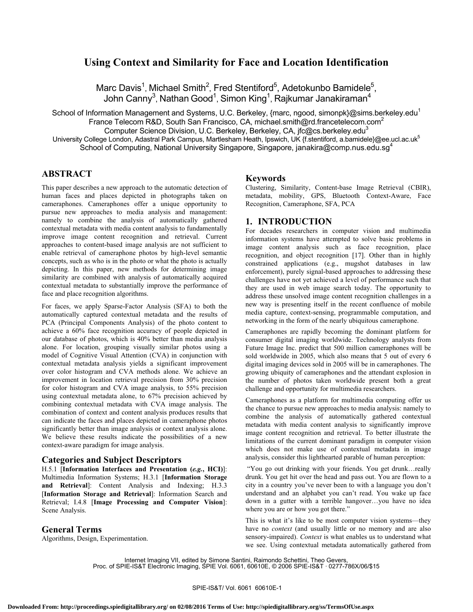# **Using Context and Similarity for Face and Location Identification**

Marc Davis<sup>1</sup>, Michael Smith<sup>2</sup>, Fred Stentiford<sup>5</sup>, Adetokunbo Bamidele<sup>5</sup>, John Canny $^3$ , Nathan Good $^1$ , Simon King $^1$ , Rajkumar Janakiraman $^4$ 

School of Information Management and Systems, U.C. Berkeley, {marc, ngood, simonpk}@sims.berkeley.edu<sup>1</sup> France Telecom R&D, South San Francisco, CA, michael.smith@rd.francetelecom.com<sup>2</sup>

Computer Science Division, U.C. Berkeley, Berkeley, CA, jfc@cs.berkeley.edu<sup>3</sup>

University College London, Adastral Park Campus, Martlesham Heath, Ipswich, UK {f.stentiford, a.bamidele}@ee.ucl.ac.uk5 School of Computing, National University Singapore, Singapore, janakira@comp.nus.edu.sg<sup>4</sup>

## **ABSTRACT**

This paper describes a new approach to the automatic detection of human faces and places depicted in photographs taken on cameraphones. Cameraphones offer a unique opportunity to pursue new approaches to media analysis and management: namely to combine the analysis of automatically gathered contextual metadata with media content analysis to fundamentally improve image content recognition and retrieval. Current approaches to content-based image analysis are not sufficient to enable retrieval of cameraphone photos by high-level semantic concepts, such as who is in the photo or what the photo is actually depicting. In this paper, new methods for determining image similarity are combined with analysis of automatically acquired contextual metadata to substantially improve the performance of face and place recognition algorithms.

For faces, we apply Sparse-Factor Analysis (SFA) to both the automatically captured contextual metadata and the results of PCA (Principal Components Analysis) of the photo content to achieve a 60% face recognition accuracy of people depicted in our database of photos, which is 40% better than media analysis alone. For location, grouping visually similar photos using a model of Cognitive Visual Attention (CVA) in conjunction with contextual metadata analysis yields a significant improvement over color histogram and CVA methods alone. We achieve an improvement in location retrieval precision from 30% precision for color histogram and CVA image analysis, to 55% precision using contextual metadata alone, to 67% precision achieved by combining contextual metadata with CVA image analysis. The combination of context and content analysis produces results that can indicate the faces and places depicted in cameraphone photos significantly better than image analysis or context analysis alone. We believe these results indicate the possibilities of a new context-aware paradigm for image analysis.

#### **Categories and Subject Descriptors**

H.5.1 [**Information Interfaces and Presentation (***e.g.***, HCI)**]: Multimedia Information Systems; H.3.1 [**Information Storage and Retrieval**]: Content Analysis and Indexing; H.3.3 [**Information Storage and Retrieval**]: Information Search and Retrieval; I.4.8 [**Image Processing and Computer Vision**]: Scene Analysis.

#### **General Terms**

Algorithms, Design, Experimentation.

#### **Keywords**

Clustering, Similarity, Content-base Image Retrieval (CBIR), metadata, mobility, GPS, Bluetooth Context-Aware, Face Recognition, Cameraphone, SFA, PCA

## **1. INTRODUCTION**

For decades researchers in computer vision and multimedia information systems have attempted to solve basic problems in image content analysis such as face recognition, place recognition, and object recognition [17]. Other than in highly constrained applications (e.g., mugshot databases in law enforcement), purely signal-based approaches to addressing these challenges have not yet achieved a level of performance such that they are used in web image search today. The opportunity to address these unsolved image content recognition challenges in a new way is presenting itself in the recent confluence of mobile media capture, context-sensing, programmable computation, and networking in the form of the nearly ubiquitous cameraphone.

Cameraphones are rapidly becoming the dominant platform for consumer digital imaging worldwide. Technology analysts from Future Image Inc. predict that 500 million cameraphones will be sold worldwide in 2005, which also means that 5 out of every 6 digital imaging devices sold in 2005 will be in cameraphones. The growing ubiquity of cameraphones and the attendant explosion in the number of photos taken worldwide present both a great challenge and opportunity for multimedia researchers.

Cameraphones as a platform for multimedia computing offer us the chance to pursue new approaches to media analysis: namely to combine the analysis of automatically gathered contextual metadata with media content analysis to significantly improve image content recognition and retrieval. To better illustrate the limitations of the current dominant paradigm in computer vision which does not make use of contextual metadata in image analysis, consider this lighthearted parable of human perception:

 "You go out drinking with your friends. You get drunk…really drunk. You get hit over the head and pass out. You are flown to a city in a country you've never been to with a language you don't understand and an alphabet you can't read. You wake up face down in a gutter with a terrible hangover…you have no idea where you are or how you got there."

This is what it's like to be most computer vision systems—they have no *context* (and usually little or no memory and are also sensory-impaired). *Context* is what enables us to understand what we see. Using contextual metadata automatically gathered from

Internet Imaging VII, edited by Simone Santini, Raimondo Schettini, Theo Gevers, Proc. of SPIE-IS&T Electronic Imaging, SPIE Vol. 6061, 60610E, © 2006 SPIE-IS&T · 0277-786X/06/\$15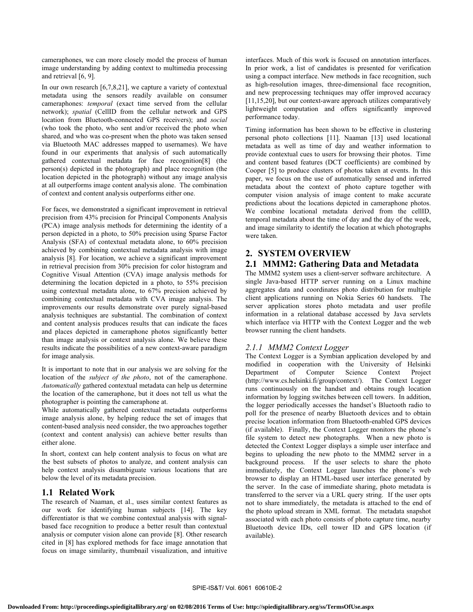cameraphones, we can more closely model the process of human image understanding by adding context to multimedia processing and retrieval [6, 9].

In our own research [6,7,8,21], we capture a variety of contextual metadata using the sensors readily available on consumer cameraphones: *temporal* (exact time served from the cellular network); *spatial* (CellID from the cellular network and GPS location from Bluetooth-connected GPS receivers); and *social* (who took the photo, who sent and/or received the photo when shared, and who was co-present when the photo was taken sensed via Bluetooth MAC addresses mapped to usernames). We have found in our experiments that analysis of such automatically gathered contextual metadata for face recognition[8] (the person(s) depicted in the photograph) and place recognition (the location depicted in the photograph) without any image analysis at all outperforms image content analysis alone. The combination of context and content analysis outperforms either one.

For faces, we demonstrated a significant improvement in retrieval precision from 43% precision for Principal Components Analysis (PCA) image analysis methods for determining the identity of a person depicted in a photo, to 50% precision using Sparse Factor Analysis (SFA) of contextual metadata alone, to 60% precision achieved by combining contextual metadata analysis with image analysis [8]. For location, we achieve a significant improvement in retrieval precision from 30% precision for color histogram and Cognitive Visual Attention (CVA) image analysis methods for determining the location depicted in a photo, to 55% precision using contextual metadata alone, to 67% precision achieved by combining contextual metadata with CVA image analysis. The improvements our results demonstrate over purely signal-based analysis techniques are substantial. The combination of context and content analysis produces results that can indicate the faces and places depicted in cameraphone photos significantly better than image analysis or context analysis alone. We believe these results indicate the possibilities of a new context-aware paradigm for image analysis.

It is important to note that in our analysis we are solving for the location of the *subject of the photo*, not of the cameraphone. *Automatically* gathered contextual metadata can help us determine the location of the cameraphone, but it does not tell us what the photographer is pointing the cameraphone at.

While automatically gathered contextual metadata outperforms image analysis alone, by helping reduce the set of images that content-based analysis need consider, the two approaches together (context and content analysis) can achieve better results than either alone.

In short, context can help content analysis to focus on what are the best subsets of photos to analyze, and content analysis can help context analysis disambiguate various locations that are below the level of its metadata precision.

## **1.1 Related Work**

The research of Naaman, et al., uses similar context features as our work for identifying human subjects [14]. The key differentiator is that we combine contextual analysis with signalbased face recognition to produce a better result than contextual analysis or computer vision alone can provide [8]. Other research cited in [8] has explored methods for face image annotation that focus on image similarity, thumbnail visualization, and intuitive

interfaces. Much of this work is focused on annotation interfaces. In prior work, a list of candidates is presented for verification using a compact interface. New methods in face recognition, such as high-resolution images, three-dimensional face recognition, and new preprocessing techniques may offer improved accuracy [11,15,20], but our context-aware approach utilizes comparatively lightweight computation and offers significantly improved performance today.

Timing information has been shown to be effective in clustering personal photo collections [11]. Naaman [13] used locational metadata as well as time of day and weather information to provide contextual cues to users for browsing their photos. Time and content based features (DCT coefficients) are combined by Cooper [5] to produce clusters of photos taken at events. In this paper, we focus on the use of automatically sensed and inferred metadata about the context of photo capture together with computer vision analysis of image content to make accurate predictions about the locations depicted in cameraphone photos. We combine locational metadata derived from the cellID, temporal metadata about the time of day and the day of the week, and image similarity to identify the location at which photographs were taken.

## **2. SYSTEM OVERVIEW**

### **2.1 MMM2: Gathering Data and Metadata**

The MMM2 system uses a client-server software architecture. A single Java-based HTTP server running on a Linux machine aggregates data and coordinates photo distribution for multiple client applications running on Nokia Series 60 handsets. The server application stores photo metadata and user profile information in a relational database accessed by Java servlets which interface via HTTP with the Context Logger and the web browser running the client handsets.

### *2.1.1 MMM2 Context Logger*

The Context Logger is a Symbian application developed by and modified in cooperation with the University of Helsinki Department of Computer Science Context Project (http://www.cs.helsinki.fi/group/context/). The Context Logger runs continuously on the handset and obtains rough location information by logging switches between cell towers. In addition, the logger periodically accesses the handset's Bluetooth radio to poll for the presence of nearby Bluetooth devices and to obtain precise location information from Bluetooth-enabled GPS devices (if available). Finally, the Context Logger monitors the phone's file system to detect new photographs. When a new photo is detected the Context Logger displays a simple user interface and begins to uploading the new photo to the MMM2 server in a background process. If the user selects to share the photo immediately, the Context Logger launches the phone's web browser to display an HTML-based user interface generated by the server. In the case of immediate sharing, photo metadata is transferred to the server via a URL query string. If the user opts not to share immediately, the metadata is attached to the end of the photo upload stream in XML format. The metadata snapshot associated with each photo consists of photo capture time, nearby Bluetooth device IDs, cell tower ID and GPS location (if available).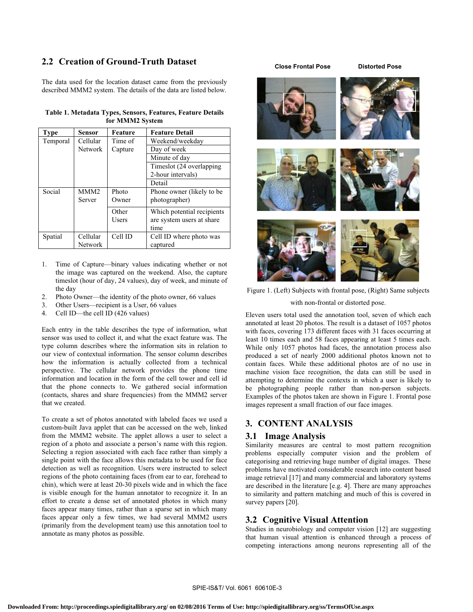## **2.2 Creation of Ground-Truth Dataset**

The data used for the location dataset came from the previously described MMM2 system. The details of the data are listed below.

| <b>Type</b> | <b>Sensor</b>    | <b>Feature</b> | <b>Feature Detail</b>      |
|-------------|------------------|----------------|----------------------------|
| Temporal    | Cellular         | Time of        | Weekend/weekday            |
|             | <b>Network</b>   | Capture        | Day of week                |
|             |                  |                | Minute of day              |
|             |                  |                | Timeslot (24 overlapping)  |
|             |                  |                | 2-hour intervals)          |
|             |                  |                | Detail                     |
| Social      | MMM <sub>2</sub> | Photo          | Phone owner (likely to be  |
|             | Server           | Owner          | photographer)              |
|             |                  | Other          | Which potential recipients |
|             |                  | Users          | are system users at share  |
|             |                  |                | time                       |
| Spatial     | Cellular         | Cell ID        | Cell ID where photo was    |
|             | Network          |                | captured                   |

| Table 1. Metadata Types, Sensors, Features, Feature Details |                 |  |  |
|-------------------------------------------------------------|-----------------|--|--|
|                                                             | for MMM2 System |  |  |

- 1. Time of Capture—binary values indicating whether or not the image was captured on the weekend. Also, the capture timeslot (hour of day, 24 values), day of week, and minute of the day
- 2. Photo Owner—the identity of the photo owner, 66 values
- 3. Other Users—recipient is a User, 66 values
- 4. Cell ID—the cell ID (426 values)

Each entry in the table describes the type of information, what sensor was used to collect it, and what the exact feature was. The type column describes where the information sits in relation to our view of contextual information. The sensor column describes how the information is actually collected from a technical perspective. The cellular network provides the phone time information and location in the form of the cell tower and cell id that the phone connects to. We gathered social information (contacts, shares and share frequencies) from the MMM2 server that we created.

To create a set of photos annotated with labeled faces we used a custom-built Java applet that can be accessed on the web, linked from the MMM2 website. The applet allows a user to select a region of a photo and associate a person's name with this region. Selecting a region associated with each face rather than simply a single point with the face allows this metadata to be used for face detection as well as recognition. Users were instructed to select regions of the photo containing faces (from ear to ear, forehead to chin), which were at least 20-30 pixels wide and in which the face is visible enough for the human annotator to recognize it. In an effort to create a dense set of annotated photos in which many faces appear many times, rather than a sparse set in which many faces appear only a few times, we had several MMM2 users (primarily from the development team) use this annotation tool to annotate as many photos as possible.



Figure 1. (Left) Subjects with frontal pose, (Right) Same subjects with non-frontal or distorted pose.

Eleven users total used the annotation tool, seven of which each annotated at least 20 photos. The result is a dataset of 1057 photos with faces, covering 173 different faces with 31 faces occurring at least 10 times each and 58 faces appearing at least 5 times each. While only 1057 photos had faces, the annotation process also produced a set of nearly 2000 additional photos known not to contain faces. While these additional photos are of no use in machine vision face recognition, the data can still be used in attempting to determine the contexts in which a user is likely to be photographing people rather than non-person subjects. Examples of the photos taken are shown in Figure 1. Frontal pose images represent a small fraction of our face images.

### **3. CONTENT ANALYSIS**

#### **3.1 Image Analysis**

Similarity measures are central to most pattern recognition problems especially computer vision and the problem of categorising and retrieving huge number of digital images. These problems have motivated considerable research into content based image retrieval [17] and many commercial and laboratory systems are described in the literature [e.g. 4]. There are many approaches to similarity and pattern matching and much of this is covered in survey papers [20].

### **3.2 Cognitive Visual Attention**

Studies in neurobiology and computer vision [12] are suggesting that human visual attention is enhanced through a process of competing interactions among neurons representing all of the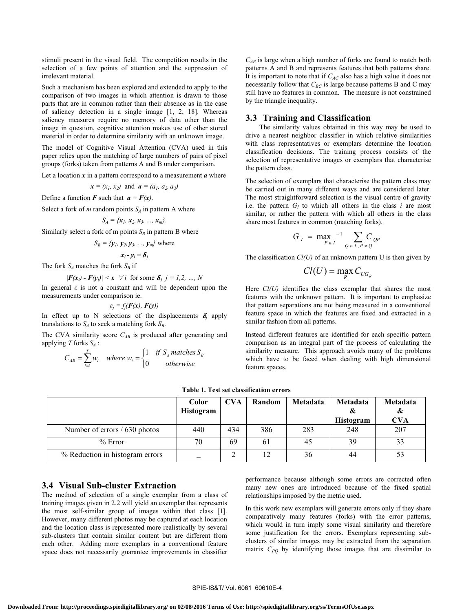stimuli present in the visual field. The competition results in the selection of a few points of attention and the suppression of irrelevant material.

Such a mechanism has been explored and extended to apply to the comparison of two images in which attention is drawn to those parts that are in common rather than their absence as in the case of saliency detection in a single image [1, 2, 18]. Whereas saliency measures require no memory of data other than the image in question, cognitive attention makes use of other stored material in order to determine similarity with an unknown image.

The model of Cognitive Visual Attention (CVA) used in this paper relies upon the matching of large numbers of pairs of pixel groups (forks) taken from patterns A and B under comparison.

Let a location  $x$  in a pattern correspond to a measurement  $a$  where

 $x = (x_1, x_2)$  and  $a = (a_1, a_2, a_3)$ 

Define a function  $\vec{F}$  such that  $\vec{a} = \vec{F}(\vec{x})$ .

Select a fork of *m* random points  $S_A$  in pattern A where

$$
S_A = \{x_1, x_2, x_3, ..., x_m\}.
$$

Similarly select a fork of m points  $S_B$  in pattern B where

$$
S_B = \{y_1, y_2, y_3, ..., y_m\} \text{ where}
$$

$$
x_i - y_i = \delta_j
$$

The fork  $S_A$  matches the fork  $S_B$  if

 $|F(x_i) - F(y_i)| \leq \varepsilon$   $\forall i$  for some  $\delta_i$   $j = 1, 2, ..., N$ 

In general  $\varepsilon$  is not a constant and will be dependent upon the measurements under comparison ie.

$$
\varepsilon_j = f_j(\mathbf{F}(\mathbf{x}), \mathbf{F}(\mathbf{y}))
$$

In effect up to N selections of the displacements  $\delta_i$  apply translations to  $S_A$  to seek a matching fork  $S_B$ .

The CVA similarity score  $C_{AB}$  is produced after generating and applying  $T$  forks  $S_A$ :

$$
C_{AB} = \sum_{i=1}^{T} w_i \quad \text{where } w_i = \begin{cases} 1 & \text{if } S_A \text{ matches } S_B \\ 0 & \text{otherwise} \end{cases}
$$

*CAB* is large when a high number of forks are found to match both patterns A and B and represents features that both patterns share. It is important to note that if  $C_{AC}$  also has a high value it does not necessarily follow that  $C_{BC}$  is large because patterns B and C may still have no features in common. The measure is not constrained by the triangle inequality.

#### **3.3 Training and Classification**

The similarity values obtained in this way may be used to drive a nearest neighbor classifier in which relative similarities with class representatives or exemplars determine the location classification decisions. The training process consists of the selection of representative images or exemplars that characterise the pattern class.

The selection of exemplars that characterise the pattern class may be carried out in many different ways and are considered later. The most straightforward selection is the visual centre of gravity i.e. the pattern  $G<sub>I</sub>$  to which all others in the class  $i$  are most similar, or rather the pattern with which all others in the class share most features in common (matching forks).

$$
G_{I} = \max_{P \in I} \frac{1}{Q} \sum_{Q \in I, P \neq Q} C_{QP}
$$

The classification *Cl(U)* of an unknown pattern U is then given by

$$
Cl(U) = \max_{R} C_{UG_R}
$$

Here *Cl(U)* identifies the class exemplar that shares the most features with the unknown pattern. It is important to emphasize that pattern separations are not being measured in a conventional feature space in which the features are fixed and extracted in a similar fashion from all patterns.

Instead different features are identified for each specific pattern comparison as an integral part of the process of calculating the similarity measure. This approach avoids many of the problems which have to be faced when dealing with high dimensional feature spaces.

|  |  |  | Table 1. Test set classification errors |  |
|--|--|--|-----------------------------------------|--|
|--|--|--|-----------------------------------------|--|

|                                 | Color            | <b>CVA</b> | Random | Metadata | Metadata         | Metadata   |
|---------------------------------|------------------|------------|--------|----------|------------------|------------|
|                                 | <b>Histogram</b> |            |        |          | &                | &          |
|                                 |                  |            |        |          | <b>Histogram</b> | <b>CVA</b> |
| Number of errors / 630 photos   | 440              | 434        | 386    | 283      | 248              | 207        |
| $%$ Error                       | 70               | 69         | 61     | 45       | 39               | 33         |
| % Reduction in histogram errors |                  |            | 12     | 36       | 44               | 53         |

#### **3.4 Visual Sub-cluster Extraction**

The method of selection of a single exemplar from a class of training images given in 2.2 will yield an exemplar that represents the most self-similar group of images within that class [1]. However, many different photos may be captured at each location and the location class is represented more realistically by several sub-clusters that contain similar content but are different from each other. Adding more exemplars in a conventional feature space does not necessarily guarantee improvements in classifier

performance because although some errors are corrected often many new ones are introduced because of the fixed spatial relationships imposed by the metric used.

In this work new exemplars will generate errors only if they share comparatively many features (forks) with the error patterns, which would in turn imply some visual similarity and therefore some justification for the errors. Exemplars representing subclusters of similar images may be extracted from the separation matrix *C<sub>PQ</sub>* by identifying those images that are dissimilar to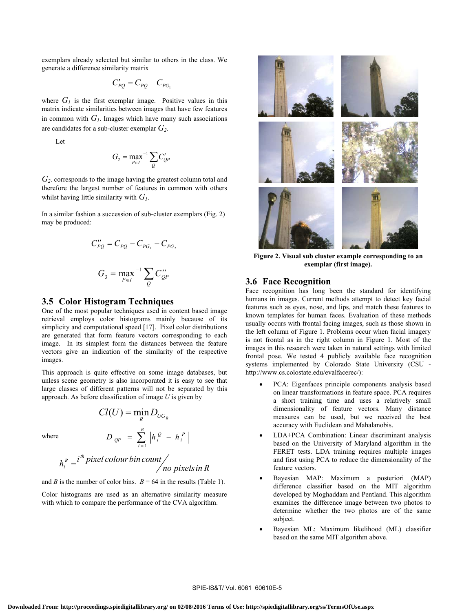exemplars already selected but similar to others in the class. We generate a difference similarity matrix

$$
C_{PQ}'=C_{PQ}-C_{PG_1}
$$

where  $G_I$  is the first exemplar image. Positive values in this matrix indicate similarities between images that have few features in common with  $G_l$ . Images which have many such associations are candidates for a sub-cluster exemplar  $G_2$ .

Let

$$
G_2 = \max_{P \in I} \sum_{Q} C'_{QP}
$$

*G2*. corresponds to the image having the greatest column total and therefore the largest number of features in common with others whilst having little similarity with *G1*.

In a similar fashion a succession of sub-cluster exemplars (Fig. 2) may be produced:

$$
C_{PQ}'' = C_{PQ} - C_{PG_1} - C_{PG_2}
$$

$$
G_3 = \max_{P \in I} \sum_{Q} C_{QP}''
$$

#### **3.5 Color Histogram Techniques**

One of the most popular techniques used in content based image retrieval employs color histograms mainly because of its simplicity and computational speed [17]. Pixel color distributions are generated that form feature vectors corresponding to each image. In its simplest form the distances between the feature vectors give an indication of the similarity of the respective images.

This approach is quite effective on some image databases, but unless scene geometry is also incorporated it is easy to see that large classes of different patterns will not be separated by this approach. As before classification of image *U* is given by

$$
Cl(U) = \min_{R} D_{UG_R}
$$
  
where  

$$
D_{QP} = \sum_{i=1}^{B} |h_i^Q - h|
$$

$$
h_i^R = i^{th}
$$
 pixel colour bin count/no pixels in R

and *B* is the number of color bins.  $B = 64$  in the results (Table 1).

Color histograms are used as an alternative similarity measure with which to compare the performance of the CVA algorithm.



**Figure 2. Visual sub cluster example corresponding to an exemplar (first image).** 

#### **3.6 Face Recognition**

Face recognition has long been the standard for identifying humans in images. Current methods attempt to detect key facial features such as eyes, nose, and lips, and match these features to known templates for human faces. Evaluation of these methods usually occurs with frontal facing images, such as those shown in the left column of Figure 1. Problems occur when facial imagery is not frontal as in the right column in Figure 1. Most of the images in this research were taken in natural settings with limited frontal pose. We tested 4 publicly available face recognition systems implemented by Colorado State University (CSU http://www.cs.colostate.edu/evalfacerec/):

- PCA: Eigenfaces principle components analysis based on linear transformations in feature space. PCA requires a short training time and uses a relatively small dimensionality of feature vectors. Many distance measures can be used, but we received the best accuracy with Euclidean and Mahalanobis.
- LDA+PCA Combination: Linear discriminant analysis based on the University of Maryland algorithm in the FERET tests. LDA training requires multiple images and first using PCA to reduce the dimensionality of the feature vectors.
- x Bayesian MAP: Maximum a posteriori (MAP) difference classifier based on the MIT algorithm developed by Moghaddam and Pentland. This algorithm examines the difference image between two photos to determine whether the two photos are of the same subject.
- x Bayesian ML: Maximum likelihood (ML) classifier based on the same MIT algorithm above.

*P i*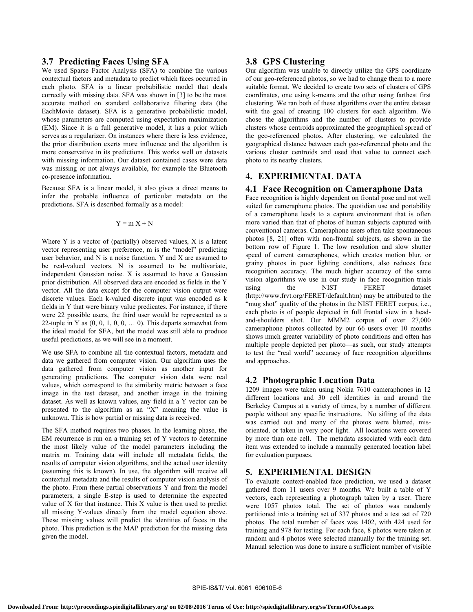#### **3.7 Predicting Faces Using SFA**

We used Sparse Factor Analysis (SFA) to combine the various contextual factors and metadata to predict which faces occurred in each photo. SFA is a linear probabilistic model that deals correctly with missing data. SFA was shown in [3] to be the most accurate method on standard collaborative filtering data (the EachMovie dataset). SFA is a generative probabilistic model, whose parameters are computed using expectation maximization (EM). Since it is a full generative model, it has a prior which serves as a regularizer. On instances where there is less evidence, the prior distribution exerts more influence and the algorithm is more conservative in its predictions. This works well on datasets with missing information. Our dataset contained cases were data was missing or not always available, for example the Bluetooth co-presence information.

Because SFA is a linear model, it also gives a direct means to infer the probable influence of particular metadata on the predictions. SFA is described formally as a model:

$$
Y=m\;X+N
$$

Where Y is a vector of (partially) observed values, X is a latent vector representing user preference, m is the "model" predicting user behavior, and N is a noise function. Y and X are assumed to be real-valued vectors. N is assumed to be multivariate, independent Gaussian noise. X is assumed to have a Gaussian prior distribution. All observed data are encoded as fields in the Y vector. All the data except for the computer vision output were discrete values. Each k-valued discrete input was encoded as k fields in Y that were binary value predicates. For instance, if there were 22 possible users, the third user would be represented as a 22-tuple in Y as  $(0, 0, 1, 0, 0, \ldots 0)$ . This departs somewhat from the ideal model for SFA, but the model was still able to produce useful predictions, as we will see in a moment.

We use SFA to combine all the contextual factors, metadata and data we gathered from computer vision. Our algorithm uses the data gathered from computer vision as another input for generating predictions. The computer vision data were real values, which correspond to the similarity metric between a face image in the test dataset, and another image in the training dataset. As well as known values, any field in a Y vector can be presented to the algorithm as an "X" meaning the value is unknown. This is how partial or missing data is received.

The SFA method requires two phases. In the learning phase, the EM recurrence is run on a training set of Y vectors to determine the most likely value of the model parameters including the matrix m. Training data will include all metadata fields, the results of computer vision algorithms, and the actual user identity (assuming this is known). In use, the algorithm will receive all contextual metadata and the results of computer vision analysis of the photo. From these partial observations Y and from the model parameters, a single E-step is used to determine the expected value of X for that instance. This X value is then used to predict all missing Y-values directly from the model equation above. These missing values will predict the identities of faces in the photo. This prediction is the MAP prediction for the missing data given the model.

### **3.8 GPS Clustering**

Our algorithm was unable to directly utilize the GPS coordinate of our geo-referenced photos, so we had to change them to a more suitable format. We decided to create two sets of clusters of GPS coordinates, one using k-means and the other using farthest first clustering. We ran both of these algorithms over the entire dataset with the goal of creating 100 clusters for each algorithm. We chose the algorithms and the number of clusters to provide clusters whose centroids approximated the geographical spread of the geo-referenced photos. After clustering, we calculated the geographical distance between each geo-referenced photo and the various cluster centroids and used that value to connect each photo to its nearby clusters.

## **4. EXPERIMENTAL DATA**

#### **4.1 Face Recognition on Cameraphone Data**

Face recognition is highly dependent on frontal pose and not well suited for cameraphone photos. The quotidian use and portability of a cameraphone leads to a capture environment that is often more varied than that of photos of human subjects captured with conventional cameras. Cameraphone users often take spontaneous photos [8, 21] often with non-frontal subjects, as shown in the bottom row of Figure 1. The low resolution and slow shutter speed of current cameraphones, which creates motion blur, or grainy photos in poor lighting conditions, also reduces face recognition accuracy. The much higher accuracy of the same vision algorithms we use in our study in face recognition trials using the NIST FERET dataset (http://www.frvt.org/FERET/default.htm) may be attributed to the "mug shot" quality of the photos in the NIST FERET corpus, i.e., each photo is of people depicted in full frontal view in a headand-shoulders shot. Our MMM2 corpus of over 27,000 cameraphone photos collected by our 66 users over 10 months shows much greater variability of photo conditions and often has multiple people depicted per photo—as such, our study attempts to test the "real world" accuracy of face recognition algorithms and approaches.

### **4.2 Photographic Location Data**

1209 images were taken using Nokia 7610 cameraphones in 12 different locations and 30 cell identities in and around the Berkeley Campus at a variety of times, by a number of different people without any specific instructions. No sifting of the data was carried out and many of the photos were blurred, misoriented, or taken in very poor light. All locations were covered by more than one cell. The metadata associated with each data item was extended to include a manually generated location label for evaluation purposes.

## **5. EXPERIMENTAL DESIGN**

To evaluate context-enabled face prediction, we used a dataset gathered from 11 users over 9 months. We built a table of Y vectors, each representing a photograph taken by a user. There were 1057 photos total. The set of photos was randomly partitioned into a training set of 337 photos and a test set of 720 photos. The total number of faces was 1402, with 424 used for training and 978 for testing. For each face, 8 photos were taken at random and 4 photos were selected manually for the training set. Manual selection was done to insure a sufficient number of visible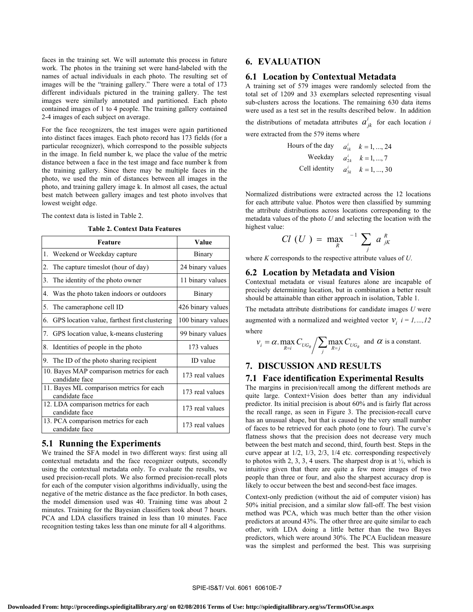faces in the training set. We will automate this process in future work. The photos in the training set were hand-labeled with the names of actual individuals in each photo. The resulting set of images will be the "training gallery." There were a total of 173 different individuals pictured in the training gallery. The test images were similarly annotated and partitioned. Each photo contained images of 1 to 4 people. The training gallery contained 2-4 images of each subject on average.

For the face recognizers, the test images were again partitioned into distinct faces images. Each photo record has 173 fields (for a particular recognizer), which correspond to the possible subjects in the image. In field number k, we place the value of the metric distance between a face in the test image and face number k from the training gallery. Since there may be multiple faces in the photo, we used the min of distances between all images in the photo, and training gallery image k. In almost all cases, the actual best match between gallery images and test photo involves that lowest weight edge.

The context data is listed in Table 2.

**Table 2. Context Data Features** 

|    | Feature                                                     | Value             |
|----|-------------------------------------------------------------|-------------------|
|    | 1. Weekend or Weekday capture                               | Binary            |
| 2. | The capture times lot (hour of day)                         | 24 binary values  |
| 3. | The identity of the photo owner                             | 11 binary values  |
| 4. | Was the photo taken indoors or outdoors                     | Binary            |
| 5. | The cameraphone cell ID                                     | 426 binary values |
| 6. | GPS location value, farthest first clustering               | 100 binary values |
| 7. | GPS location value, k-means clustering                      | 99 binary values  |
| 8. | Identities of people in the photo                           | 173 values        |
| 9. | The ID of the photo sharing recipient                       | <b>ID</b> value   |
|    | 10. Bayes MAP comparison metrics for each<br>candidate face | 173 real values   |
|    | 11. Bayes ML comparison metrics for each<br>candidate face  | 173 real values   |
|    | 12. LDA comparison metrics for each<br>candidate face       | 173 real values   |
|    | 13. PCA comparison metrics for each<br>candidate face       | 173 real values   |

#### **5.1 Running the Experiments**

We trained the SFA model in two different ways: first using all contextual metadata and the face recognizer outputs, secondly using the contextual metadata only. To evaluate the results, we used precision-recall plots. We also formed precision-recall plots for each of the computer vision algorithms individually, using the negative of the metric distance as the face predictor. In both cases, the model dimension used was 40. Training time was about 2 minutes. Training for the Bayesian classifiers took about 7 hours. PCA and LDA classifiers trained in less than 10 minutes. Face recognition testing takes less than one minute for all 4 algorithms.

### **6. EVALUATION**

#### **6.1 Location by Contextual Metadata**

A training set of 579 images were randomly selected from the total set of 1209 and 33 exemplars selected representing visual sub-clusters across the locations. The remaining 630 data items were used as a test set in the results described below. In addition

the distributions of metadata attributes  $a^i_{jk}$  for each location *i* 

were extracted from the 579 items where

Hours of the day  $a_{1k}^i$   $k = 1, ..., 24$  $\text{Weekday} \quad a_{2k}^i \quad k = 1, ..., 7$ Cell identity  $a_{3k}^i$   $k = 1, ..., 30$ 

Normalized distributions were extracted across the 12 locations for each attribute value. Photos were then classified by summing the attribute distributions across locations corresponding to the metadata values of the photo *U* and selecting the location with the highest value:

$$
Cl (U) = \max_{R} {}^{-1} \sum_{j} a_{jk}^{R}
$$

where *K* corresponds to the respective attribute values of *U*.

#### **6.2 Location by Metadata and Vision**

Contextual metadata or visual features alone are incapable of precisely determining location, but in combination a better result should be attainable than either approach in isolation, Table 1.

The metadata attribute distributions for candidate images *U* were

augmented with a normalized and weighted vector  $V_i$   $i = 1,...,12$ where

$$
v_i = \alpha \cdot \max_{R=i} C_{UG_R} / \sum_{j} \max_{R=j} C_{UG_R}
$$
 and  $\alpha$  is a constant.

## **7. DISCUSSION AND RESULTS**

#### **7.1 Face identification Experimental Results**

The margins in precision/recall among the different methods are quite large. Context+Vision does better than any individual predictor. Its initial precision is about 60% and is fairly flat across the recall range, as seen in Figure 3. The precision-recall curve has an unusual shape, but that is caused by the very small number of faces to be retrieved for each photo (one to four). The curve's flatness shows that the precision does not decrease very much between the best match and second, third, fourth best. Steps in the curve appear at 1/2, 1/3, 2/3, 1/4 etc. corresponding respectively to photos with 2, 3, 3, 4 users. The sharpest drop is at  $\frac{1}{2}$ , which is intuitive given that there are quite a few more images of two people than three or four, and also the sharpest accuracy drop is likely to occur between the best and second-best face images.

Context-only prediction (without the aid of computer vision) has 50% initial precision, and a similar slow fall-off. The best vision method was PCA, which was much better than the other vision predictors at around 43%. The other three are quite similar to each other, with LDA doing a little better than the two Bayes predictors, which were around 30%. The PCA Euclidean measure was the simplest and performed the best. This was surprising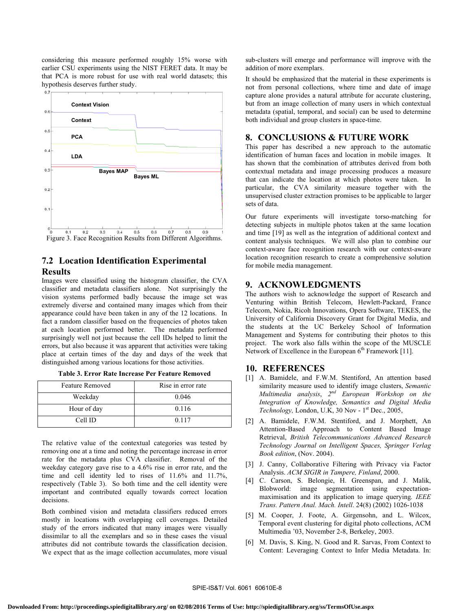considering this measure performed roughly 15% worse with earlier CSU experiments using the NIST FERET data. It may be that PCA is more robust for use with real world datasets; this hypothesis deserves further study.



# **7.2 Location Identification Experimental Results**

Images were classified using the histogram classifier, the CVA classifier and metadata classifiers alone. Not surprisingly the vision systems performed badly because the image set was extremely diverse and contained many images which from their appearance could have been taken in any of the 12 locations. In fact a random classifier based on the frequencies of photos taken at each location performed better. The metadata performed surprisingly well not just because the cell IDs helped to limit the errors, but also because it was apparent that activities were taking place at certain times of the day and days of the week that distinguished among various locations for those activities.

| <b>Feature Removed</b> | Rise in error rate |
|------------------------|--------------------|
| Weekday                | 0.046              |
| Hour of day            | 0.116              |
| Cell ID                | 0.117              |

**Table 3. Error Rate Increase Per Feature Removed** 

The relative value of the contextual categories was tested by removing one at a time and noting the percentage increase in error rate for the metadata plus CVA classifier. Removal of the weekday category gave rise to a 4.6% rise in error rate, and the time and cell identity led to rises of 11.6% and 11.7%, respectively (Table 3). So both time and the cell identity were important and contributed equally towards correct location decisions.

Both combined vision and metadata classifiers reduced errors mostly in locations with overlapping cell coverages. Detailed study of the errors indicated that many images were visually dissimilar to all the exemplars and so in these cases the visual attributes did not contribute towards the classification decision. We expect that as the image collection accumulates, more visual

sub-clusters will emerge and performance will improve with the addition of more exemplars.

It should be emphasized that the material in these experiments is not from personal collections, where time and date of image capture alone provides a natural attribute for accurate clustering, but from an image collection of many users in which contextual metadata (spatial, temporal, and social) can be used to determine both individual and group clusters in space-time.

### **8. CONCLUSIONS & FUTURE WORK**

This paper has described a new approach to the automatic identification of human faces and location in mobile images. It has shown that the combination of attributes derived from both contextual metadata and image processing produces a measure that can indicate the location at which photos were taken. In particular, the CVA similarity measure together with the unsupervised cluster extraction promises to be applicable to larger sets of data.

Our future experiments will investigate torso-matching for detecting subjects in multiple photos taken at the same location and time [19] as well as the integration of additional context and content analysis techniques. We will also plan to combine our context-aware face recognition research with our context-aware location recognition research to create a comprehensive solution for mobile media management.

#### **9. ACKNOWLEDGMENTS**

The authors wish to acknowledge the support of Research and Venturing within British Telecom, Hewlett-Packard, France Telecom, Nokia, Ricoh Innovations, Opera Software, TEKES, the University of California Discovery Grant for Digital Media, and the students at the UC Berkeley School of Information Management and Systems for contributing their photos to this project. The work also falls within the scope of the MUSCLE Network of Excellence in the European  $6<sup>th</sup>$  Framework [11].

#### **10. REFERENCES**

- [1] A. Bamidele, and F.W.M. Stentiford, An attention based similarity measure used to identify image clusters, *Semantic Multimedia analysis*, *2nd European Workshop on the Integration of Knowledge, Semantics and Digital Media Technology, London, U.K.*, 30 Nov -  $1<sup>st</sup>$  Dec., 2005,
- [2] A. Bamidele, F.W.M. Stentiford, and J. Morphett, An Attention-Based Approach to Content Based Image Retrieval, *British Telecommunications Advanced Research Technology Journal on Intelligent Spaces, Springer Verlag Book edition*, (Nov. 2004).
- [3] J. Canny, Collaborative Filtering with Privacy via Factor Analysis. *ACM SIGIR in Tampere, Finland*, 2000.
- [4] C. Carson, S. Belongie, H. Greenspan, and J. Malik, Blobworld: image segmentation using expectationmaximisation and its application to image querying*. IEEE Trans. Pattern Anal. Mach. Intell*. 24(8) (2002) 1026-1038
- [5] M. Cooper, J. Foote, A. Girgensohn, and L. Wilcox, Temporal event clustering for digital photo collections, ACM Multimedia '03, November 2-8, Berkeley, 2003.
- [6] M. Davis, S. King, N. Good and R. Sarvas, From Context to Content: Leveraging Context to Infer Media Metadata. In: